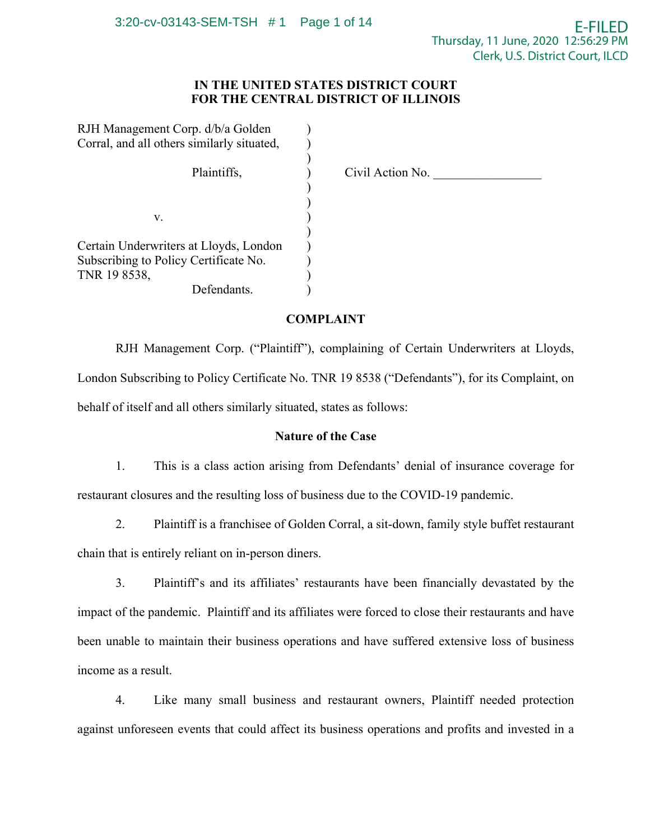# **IN THE UNITED STATES DISTRICT COURT FOR THE CENTRAL DISTRICT OF ILLINOIS**

| RJH Management Corp. d/b/a Golden          |                  |
|--------------------------------------------|------------------|
| Corral, and all others similarly situated, |                  |
|                                            |                  |
| Plaintiffs,                                | Civil Action No. |
|                                            |                  |
|                                            |                  |
| V.                                         |                  |
|                                            |                  |
| Certain Underwriters at Lloyds, London     |                  |
| Subscribing to Policy Certificate No.      |                  |
| TNR 19 8538,                               |                  |
| Defendants.                                |                  |

# **COMPLAINT**

RJH Management Corp. ("Plaintiff"), complaining of Certain Underwriters at Lloyds, London Subscribing to Policy Certificate No. TNR 19 8538 ("Defendants"), for its Complaint, on behalf of itself and all others similarly situated, states as follows:

# **Nature of the Case**

1. This is a class action arising from Defendants' denial of insurance coverage for restaurant closures and the resulting loss of business due to the COVID-19 pandemic.

2. Plaintiff is a franchisee of Golden Corral, a sit-down, family style buffet restaurant chain that is entirely reliant on in-person diners.

3. Plaintiff's and its affiliates' restaurants have been financially devastated by the impact of the pandemic. Plaintiff and its affiliates were forced to close their restaurants and have been unable to maintain their business operations and have suffered extensive loss of business income as a result.

4. Like many small business and restaurant owners, Plaintiff needed protection against unforeseen events that could affect its business operations and profits and invested in a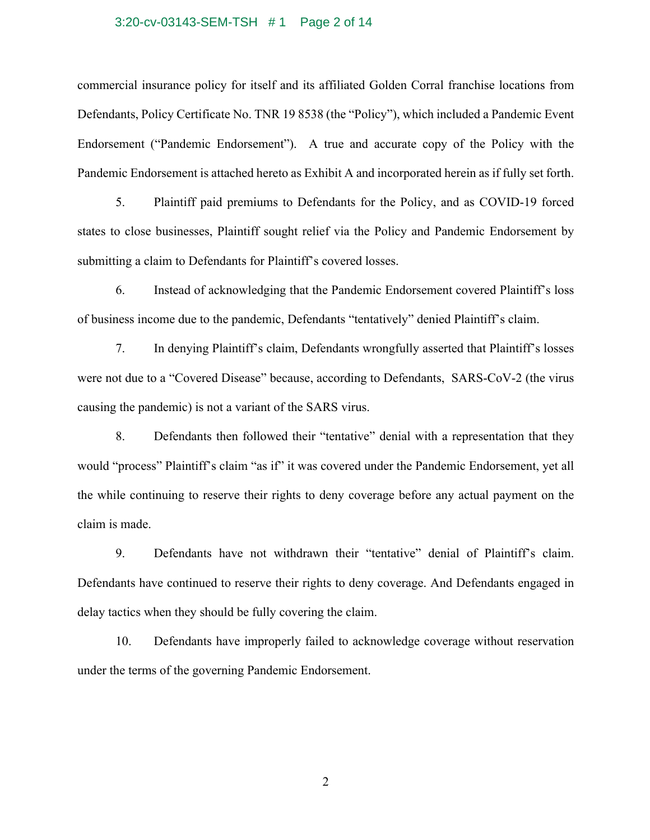#### 3:20-cv-03143-SEM-TSH # 1 Page 2 of 14

commercial insurance policy for itself and its affiliated Golden Corral franchise locations from Defendants, Policy Certificate No. TNR 19 8538 (the "Policy"), which included a Pandemic Event Endorsement ("Pandemic Endorsement"). A true and accurate copy of the Policy with the Pandemic Endorsement is attached hereto as Exhibit A and incorporated herein as if fully set forth.

5. Plaintiff paid premiums to Defendants for the Policy, and as COVID-19 forced states to close businesses, Plaintiff sought relief via the Policy and Pandemic Endorsement by submitting a claim to Defendants for Plaintiff's covered losses.

6. Instead of acknowledging that the Pandemic Endorsement covered Plaintiff's loss of business income due to the pandemic, Defendants "tentatively" denied Plaintiff's claim.

7. In denying Plaintiff's claim, Defendants wrongfully asserted that Plaintiff's losses were not due to a "Covered Disease" because, according to Defendants, SARS-CoV-2 (the virus causing the pandemic) is not a variant of the SARS virus.

8. Defendants then followed their "tentative" denial with a representation that they would "process" Plaintiff's claim "as if" it was covered under the Pandemic Endorsement, yet all the while continuing to reserve their rights to deny coverage before any actual payment on the claim is made.

9. Defendants have not withdrawn their "tentative" denial of Plaintiff's claim. Defendants have continued to reserve their rights to deny coverage. And Defendants engaged in delay tactics when they should be fully covering the claim.

10. Defendants have improperly failed to acknowledge coverage without reservation under the terms of the governing Pandemic Endorsement.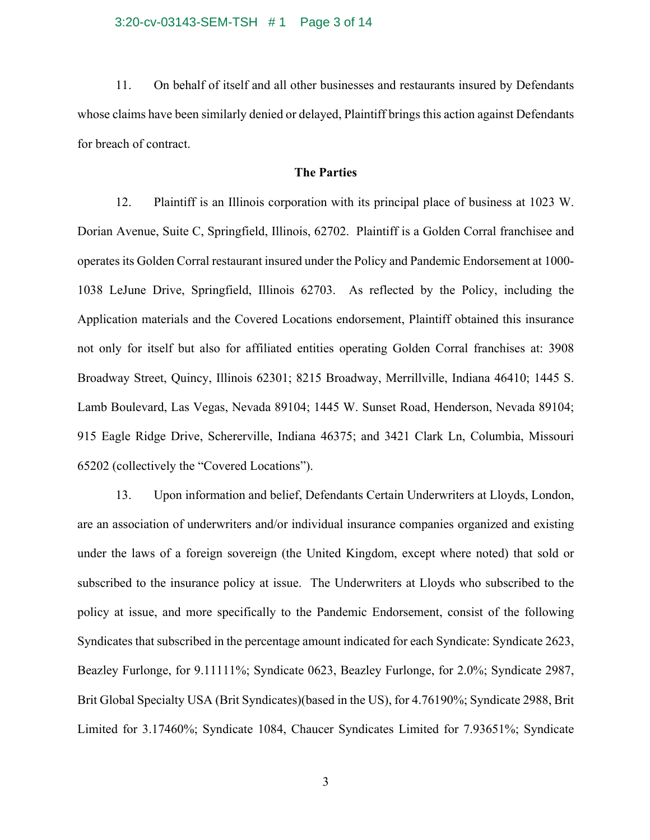11. On behalf of itself and all other businesses and restaurants insured by Defendants whose claims have been similarly denied or delayed, Plaintiff brings this action against Defendants for breach of contract.

## **The Parties**

12. Plaintiff is an Illinois corporation with its principal place of business at 1023 W. Dorian Avenue, Suite C, Springfield, Illinois, 62702. Plaintiff is a Golden Corral franchisee and operates its Golden Corral restaurant insured under the Policy and Pandemic Endorsement at 1000- 1038 LeJune Drive, Springfield, Illinois 62703. As reflected by the Policy, including the Application materials and the Covered Locations endorsement, Plaintiff obtained this insurance not only for itself but also for affiliated entities operating Golden Corral franchises at: 3908 Broadway Street, Quincy, Illinois 62301; 8215 Broadway, Merrillville, Indiana 46410; 1445 S. Lamb Boulevard, Las Vegas, Nevada 89104; 1445 W. Sunset Road, Henderson, Nevada 89104; 915 Eagle Ridge Drive, Schererville, Indiana 46375; and 3421 Clark Ln, Columbia, Missouri 65202 (collectively the "Covered Locations").

13. Upon information and belief, Defendants Certain Underwriters at Lloyds, London, are an association of underwriters and/or individual insurance companies organized and existing under the laws of a foreign sovereign (the United Kingdom, except where noted) that sold or subscribed to the insurance policy at issue. The Underwriters at Lloyds who subscribed to the policy at issue, and more specifically to the Pandemic Endorsement, consist of the following Syndicates that subscribed in the percentage amount indicated for each Syndicate: Syndicate 2623, Beazley Furlonge, for 9.11111%; Syndicate 0623, Beazley Furlonge, for 2.0%; Syndicate 2987, Brit Global Specialty USA (Brit Syndicates)(based in the US), for 4.76190%; Syndicate 2988, Brit Limited for 3.17460%; Syndicate 1084, Chaucer Syndicates Limited for 7.93651%; Syndicate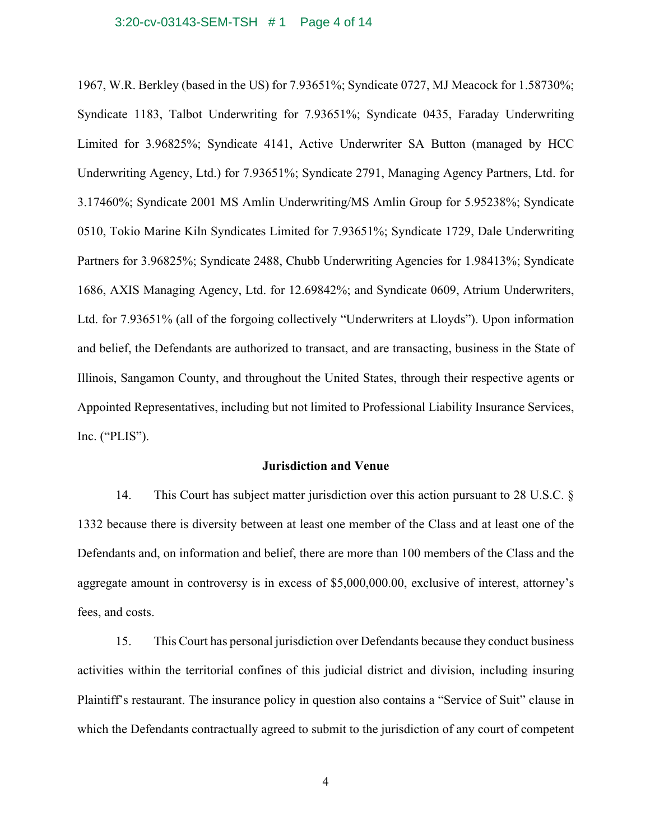#### 3:20-cv-03143-SEM-TSH # 1 Page 4 of 14

1967, W.R. Berkley (based in the US) for 7.93651%; Syndicate 0727, MJ Meacock for 1.58730%; Syndicate 1183, Talbot Underwriting for 7.93651%; Syndicate 0435, Faraday Underwriting Limited for 3.96825%; Syndicate 4141, Active Underwriter SA Button (managed by HCC Underwriting Agency, Ltd.) for 7.93651%; Syndicate 2791, Managing Agency Partners, Ltd. for 3.17460%; Syndicate 2001 MS Amlin Underwriting/MS Amlin Group for 5.95238%; Syndicate 0510, Tokio Marine Kiln Syndicates Limited for 7.93651%; Syndicate 1729, Dale Underwriting Partners for 3.96825%; Syndicate 2488, Chubb Underwriting Agencies for 1.98413%; Syndicate 1686, AXIS Managing Agency, Ltd. for 12.69842%; and Syndicate 0609, Atrium Underwriters, Ltd. for 7.93651% (all of the forgoing collectively "Underwriters at Lloyds"). Upon information and belief, the Defendants are authorized to transact, and are transacting, business in the State of Illinois, Sangamon County, and throughout the United States, through their respective agents or Appointed Representatives, including but not limited to Professional Liability Insurance Services, Inc. ("PLIS").

## **Jurisdiction and Venue**

14. This Court has subject matter jurisdiction over this action pursuant to 28 U.S.C. § 1332 because there is diversity between at least one member of the Class and at least one of the Defendants and, on information and belief, there are more than 100 members of the Class and the aggregate amount in controversy is in excess of \$5,000,000.00, exclusive of interest, attorney's fees, and costs.

15. This Court has personal jurisdiction over Defendants because they conduct business activities within the territorial confines of this judicial district and division, including insuring Plaintiff's restaurant. The insurance policy in question also contains a "Service of Suit" clause in which the Defendants contractually agreed to submit to the jurisdiction of any court of competent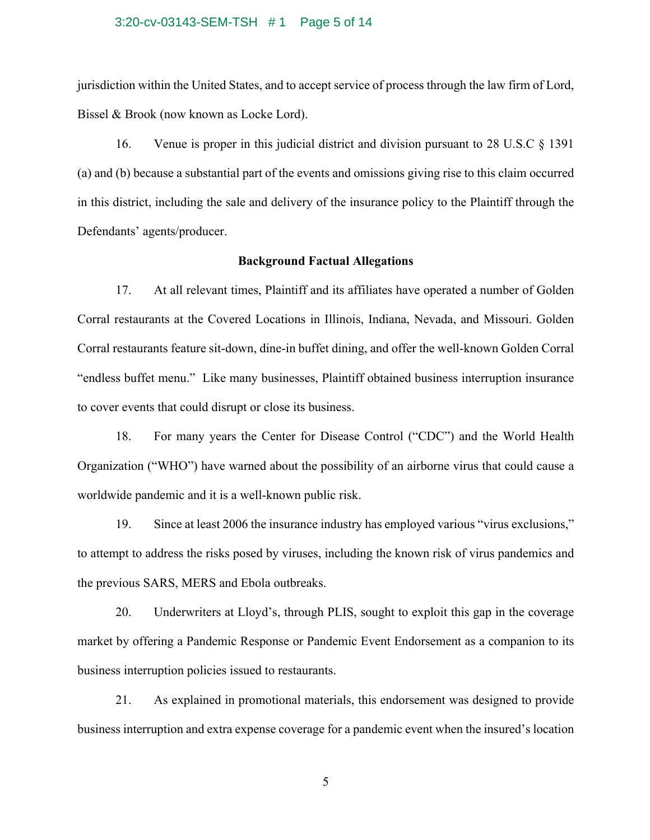#### 3:20-cv-03143-SEM-TSH # 1 Page 5 of 14

jurisdiction within the United States, and to accept service of process through the law firm of Lord, Bissel & Brook (now known as Locke Lord).

16. Venue is proper in this judicial district and division pursuant to 28 U.S.C § 1391 (a) and (b) because a substantial part of the events and omissions giving rise to this claim occurred in this district, including the sale and delivery of the insurance policy to the Plaintiff through the Defendants' agents/producer.

### **Background Factual Allegations**

17. At all relevant times, Plaintiff and its affiliates have operated a number of Golden Corral restaurants at the Covered Locations in Illinois, Indiana, Nevada, and Missouri. Golden Corral restaurants feature sit-down, dine-in buffet dining, and offer the well-known Golden Corral "endless buffet menu." Like many businesses, Plaintiff obtained business interruption insurance to cover events that could disrupt or close its business.

18. For many years the Center for Disease Control ("CDC") and the World Health Organization ("WHO") have warned about the possibility of an airborne virus that could cause a worldwide pandemic and it is a well-known public risk.

19. Since at least 2006 the insurance industry has employed various "virus exclusions," to attempt to address the risks posed by viruses, including the known risk of virus pandemics and the previous SARS, MERS and Ebola outbreaks.

20. Underwriters at Lloyd's, through PLIS, sought to exploit this gap in the coverage market by offering a Pandemic Response or Pandemic Event Endorsement as a companion to its business interruption policies issued to restaurants.

21. As explained in promotional materials, this endorsement was designed to provide business interruption and extra expense coverage for a pandemic event when the insured's location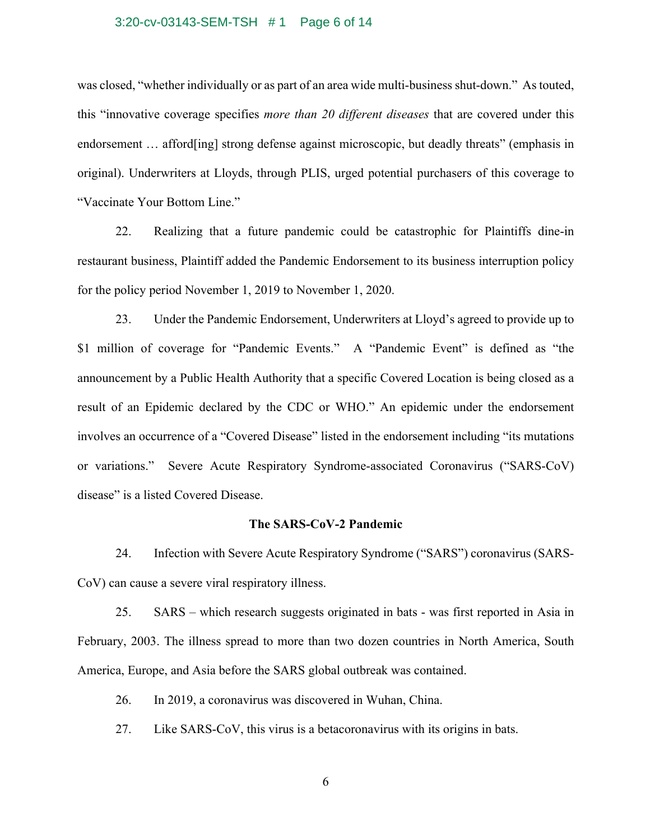### 3:20-cv-03143-SEM-TSH # 1 Page 6 of 14

was closed, "whether individually or as part of an area wide multi-business shut-down." As touted, this "innovative coverage specifies *more than 20 different diseases* that are covered under this endorsement … afford[ing] strong defense against microscopic, but deadly threats" (emphasis in original). Underwriters at Lloyds, through PLIS, urged potential purchasers of this coverage to "Vaccinate Your Bottom Line."

22. Realizing that a future pandemic could be catastrophic for Plaintiffs dine-in restaurant business, Plaintiff added the Pandemic Endorsement to its business interruption policy for the policy period November 1, 2019 to November 1, 2020.

23. Under the Pandemic Endorsement, Underwriters at Lloyd's agreed to provide up to \$1 million of coverage for "Pandemic Events." A "Pandemic Event" is defined as "the announcement by a Public Health Authority that a specific Covered Location is being closed as a result of an Epidemic declared by the CDC or WHO." An epidemic under the endorsement involves an occurrence of a "Covered Disease" listed in the endorsement including "its mutations" or variations." Severe Acute Respiratory Syndrome-associated Coronavirus ("SARS-CoV) disease" is a listed Covered Disease.

## **The SARS-CoV-2 Pandemic**

24. Infection with Severe Acute Respiratory Syndrome ("SARS") coronavirus (SARS-CoV) can cause a severe viral respiratory illness.

25. SARS – which research suggests originated in bats - was first reported in Asia in February, 2003. The illness spread to more than two dozen countries in North America, South America, Europe, and Asia before the SARS global outbreak was contained.

26. In 2019, a coronavirus was discovered in Wuhan, China.

27. Like SARS-CoV, this virus is a betacoronavirus with its origins in bats.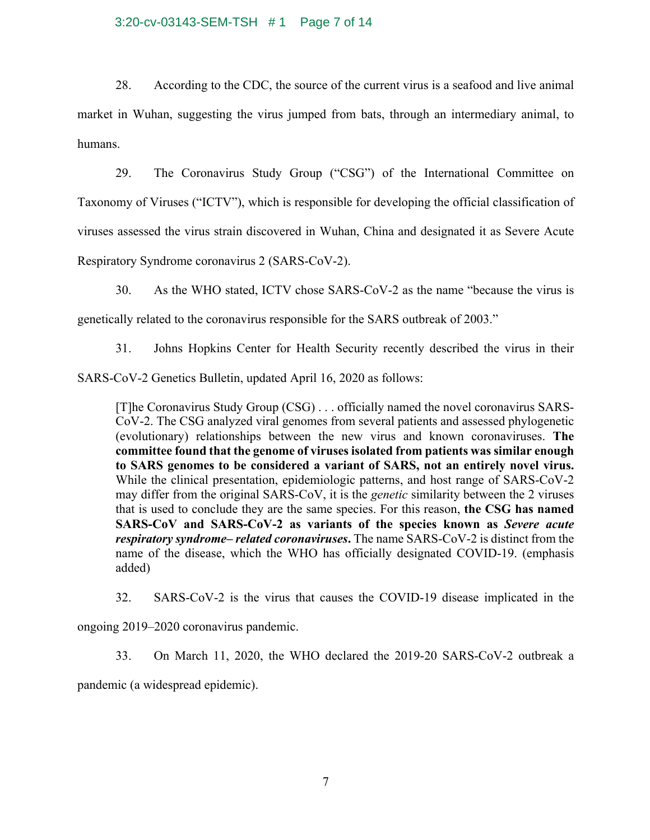## 3:20-cv-03143-SEM-TSH # 1 Page 7 of 14

28. According to the CDC, the source of the current virus is a seafood and live animal market in Wuhan, suggesting the virus jumped from bats, through an intermediary animal, to humans.

29. The Coronavirus Study Group ("CSG") of the International Committee on Taxonomy of Viruses ("ICTV"), which is responsible for developing the official classification of viruses assessed the virus strain discovered in Wuhan, China and designated it as Severe Acute Respiratory Syndrome coronavirus 2 (SARS-CoV-2).

30. As the WHO stated, ICTV chose SARS-CoV-2 as the name "because the virus is

genetically related to the coronavirus responsible for the SARS outbreak of 2003."

31. Johns Hopkins Center for Health Security recently described the virus in their

SARS-CoV-2 Genetics Bulletin, updated April 16, 2020 as follows:

[T]he Coronavirus Study Group (CSG) . . . officially named the novel coronavirus SARS-CoV-2. The CSG analyzed viral genomes from several patients and assessed phylogenetic (evolutionary) relationships between the new virus and known coronaviruses. **The committee found that the genome of viruses isolated from patients was similar enough to SARS genomes to be considered a variant of SARS, not an entirely novel virus.** While the clinical presentation, epidemiologic patterns, and host range of SARS-CoV-2 may differ from the original SARS-CoV, it is the *genetic* similarity between the 2 viruses that is used to conclude they are the same species. For this reason, **the CSG has named SARS-CoV and SARS-CoV-2 as variants of the species known as** *Severe acute respiratory syndrome– related coronaviruses***.** The name SARS-CoV-2 is distinct from the name of the disease, which the WHO has officially designated COVID-19. (emphasis added)

32. SARS-CoV-2 is the virus that causes the COVID-19 disease implicated in the

ongoing 2019–2020 coronavirus pandemic.

33. On March 11, 2020, the WHO declared the 2019-20 SARS-CoV-2 outbreak a

pandemic (a widespread epidemic).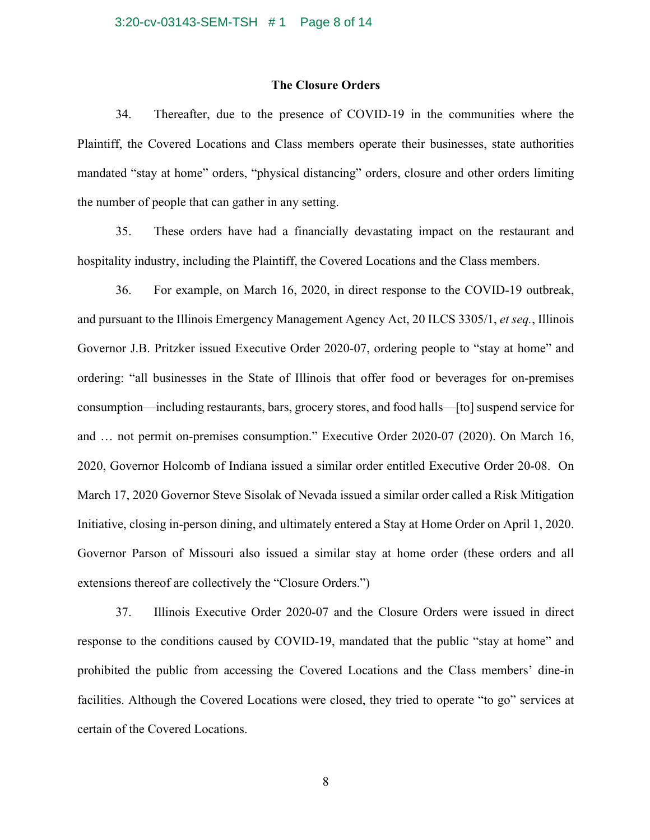## **The Closure Orders**

34. Thereafter, due to the presence of COVID-19 in the communities where the Plaintiff, the Covered Locations and Class members operate their businesses, state authorities mandated "stay at home" orders, "physical distancing" orders, closure and other orders limiting the number of people that can gather in any setting.

35. These orders have had a financially devastating impact on the restaurant and hospitality industry, including the Plaintiff, the Covered Locations and the Class members.

36. For example, on March 16, 2020, in direct response to the COVID-19 outbreak, and pursuant to the Illinois Emergency Management Agency Act, 20 ILCS 3305/1, *et seq.*, Illinois Governor J.B. Pritzker issued Executive Order 2020-07, ordering people to "stay at home" and ordering: "all businesses in the State of Illinois that offer food or beverages for on-premises consumption—including restaurants, bars, grocery stores, and food halls—[to] suspend service for and … not permit on-premises consumption." Executive Order 2020-07 (2020). On March 16, 2020, Governor Holcomb of Indiana issued a similar order entitled Executive Order 20-08. On March 17, 2020 Governor Steve Sisolak of Nevada issued a similar order called a Risk Mitigation Initiative, closing in-person dining, and ultimately entered a Stay at Home Order on April 1, 2020. Governor Parson of Missouri also issued a similar stay at home order (these orders and all extensions thereof are collectively the "Closure Orders.")

37. Illinois Executive Order 2020-07 and the Closure Orders were issued in direct response to the conditions caused by COVID-19, mandated that the public "stay at home" and prohibited the public from accessing the Covered Locations and the Class members' dine-in facilities. Although the Covered Locations were closed, they tried to operate "to go" services at certain of the Covered Locations.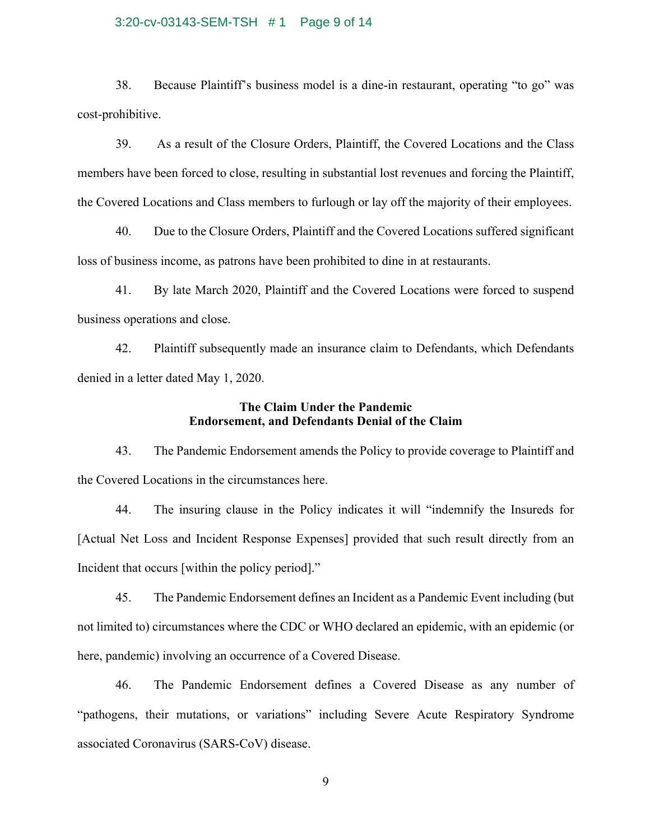### 3:20-cv-03143-SEM-TSH # 1 Page 9 of 14

38. Because Plaintiff's business model is a dine-in restaurant, operating "to go" was cost-prohibitive.

39. As a result of the Closure Orders, Plaintiff, the Covered Locations and the Class members have been forced to close, resulting in substantial lost revenues and forcing the Plaintiff, the Covered Locations and Class members to furlough or lay off the majority of their employees.

40. Due to the Closure Orders, Plaintiff and the Covered Locations suffered significant loss of business income, as patrons have been prohibited to dine in at restaurants.

41. By late March 2020, Plaintiff and the Covered Locations were forced to suspend business operations and close.

42. Plaintiff subsequently made an insurance claim to Defendants, which Defendants denied in a letter dated May 1, 2020.

# **The Claim Under the Pandemic Endorsement, and Defendants Denial of the Claim**

43. The Pandemic Endorsement amends the Policy to provide coverage to Plaintiff and the Covered Locations in the circumstances here.

44. The insuring clause in the Policy indicates it will "indemnify the Insureds for [Actual Net Loss and Incident Response Expenses] provided that such result directly from an Incident that occurs [within the policy period]."

45. The Pandemic Endorsement defines an Incident as a Pandemic Event including (but not limited to) circumstances where the CDC or WHO declared an epidemic, with an epidemic (or here, pandemic) involving an occurrence of a Covered Disease.

46. The Pandemic Endorsement defines a Covered Disease as any number of "pathogens, their mutations, or variations" including Severe Acute Respiratory Syndrome associated Coronavirus (SARS-CoV) disease.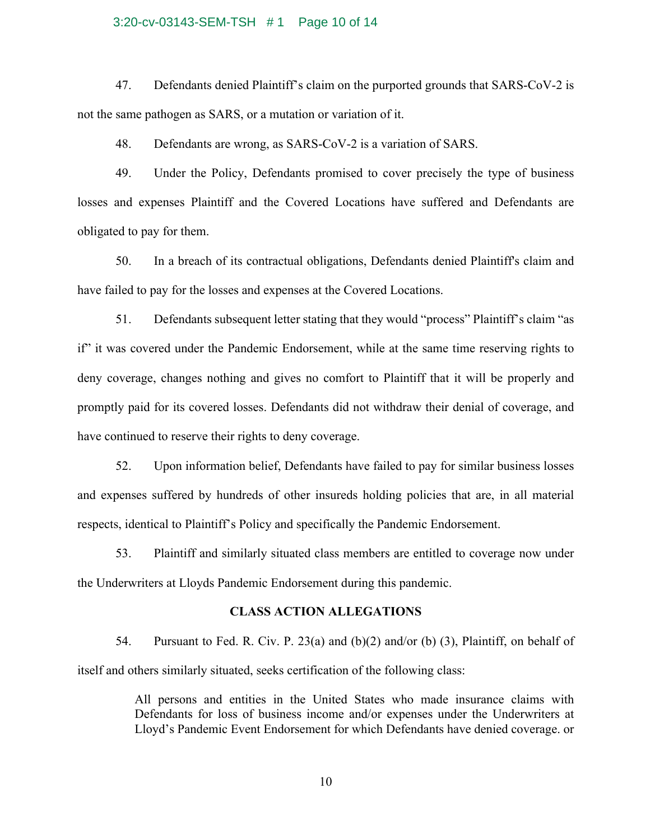#### 3:20-cv-03143-SEM-TSH # 1 Page 10 of 14

47. Defendants denied Plaintiff's claim on the purported grounds that SARS-CoV-2 is not the same pathogen as SARS, or a mutation or variation of it.

48. Defendants are wrong, as SARS-CoV-2 is a variation of SARS.

49. Under the Policy, Defendants promised to cover precisely the type of business losses and expenses Plaintiff and the Covered Locations have suffered and Defendants are obligated to pay for them.

50. In a breach of its contractual obligations, Defendants denied Plaintiff's claim and have failed to pay for the losses and expenses at the Covered Locations.

51. Defendants subsequent letter stating that they would "process" Plaintiff's claim "as if" it was covered under the Pandemic Endorsement, while at the same time reserving rights to deny coverage, changes nothing and gives no comfort to Plaintiff that it will be properly and promptly paid for its covered losses. Defendants did not withdraw their denial of coverage, and have continued to reserve their rights to deny coverage.

52. Upon information belief, Defendants have failed to pay for similar business losses and expenses suffered by hundreds of other insureds holding policies that are, in all material respects, identical to Plaintiff's Policy and specifically the Pandemic Endorsement.

53. Plaintiff and similarly situated class members are entitled to coverage now under the Underwriters at Lloyds Pandemic Endorsement during this pandemic.

## **CLASS ACTION ALLEGATIONS**

54. Pursuant to Fed. R. Civ. P. 23(a) and (b)(2) and/or (b) (3), Plaintiff, on behalf of itself and others similarly situated, seeks certification of the following class:

> All persons and entities in the United States who made insurance claims with Defendants for loss of business income and/or expenses under the Underwriters at Lloyd's Pandemic Event Endorsement for which Defendants have denied coverage. or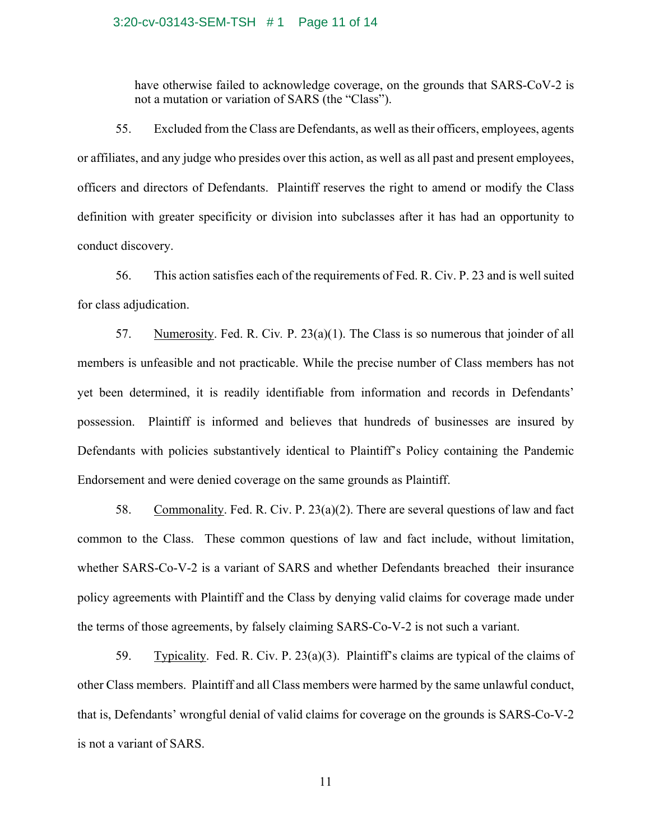#### 3:20-cv-03143-SEM-TSH # 1 Page 11 of 14

have otherwise failed to acknowledge coverage, on the grounds that SARS-CoV-2 is not a mutation or variation of SARS (the "Class").

55. Excluded from the Class are Defendants, as well as their officers, employees, agents or affiliates, and any judge who presides over this action, as well as all past and present employees, officers and directors of Defendants. Plaintiff reserves the right to amend or modify the Class definition with greater specificity or division into subclasses after it has had an opportunity to conduct discovery.

56. This action satisfies each of the requirements of Fed. R. Civ. P. 23 and is well suited for class adjudication.

57. Numerosity. Fed. R. Civ*.* P. 23(a)(1). The Class is so numerous that joinder of all members is unfeasible and not practicable. While the precise number of Class members has not yet been determined, it is readily identifiable from information and records in Defendants' possession. Plaintiff is informed and believes that hundreds of businesses are insured by Defendants with policies substantively identical to Plaintiff's Policy containing the Pandemic Endorsement and were denied coverage on the same grounds as Plaintiff.

58. Commonality. Fed. R. Civ. P. 23(a)(2). There are several questions of law and fact common to the Class. These common questions of law and fact include, without limitation, whether SARS-Co-V-2 is a variant of SARS and whether Defendants breached their insurance policy agreements with Plaintiff and the Class by denying valid claims for coverage made under the terms of those agreements, by falsely claiming SARS-Co-V-2 is not such a variant.

59. Typicality. Fed. R. Civ. P. 23(a)(3). Plaintiff's claims are typical of the claims of other Class members. Plaintiff and all Class members were harmed by the same unlawful conduct, that is, Defendants' wrongful denial of valid claims for coverage on the grounds is SARS-Co-V-2 is not a variant of SARS.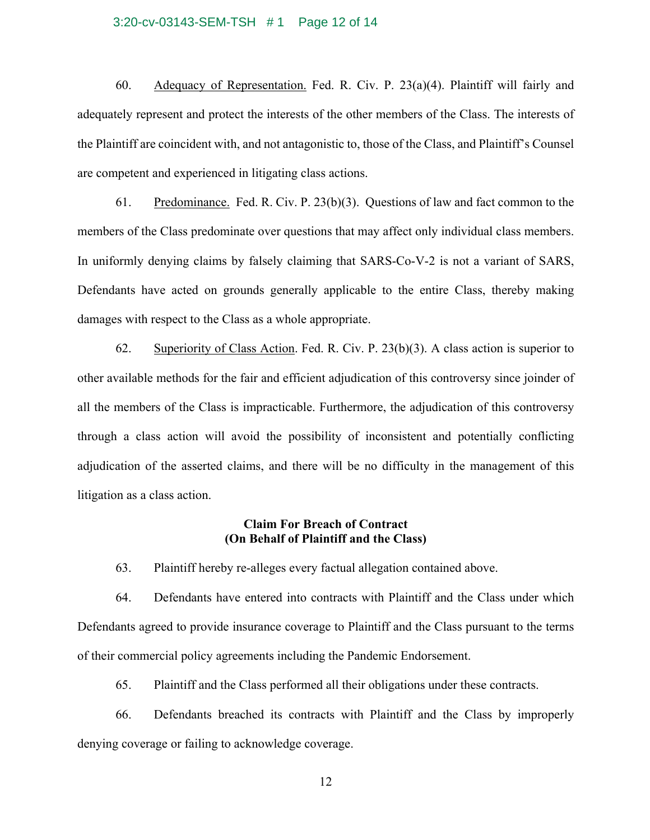#### 3:20-cv-03143-SEM-TSH # 1 Page 12 of 14

60. Adequacy of Representation. Fed. R. Civ. P. 23(a)(4). Plaintiff will fairly and adequately represent and protect the interests of the other members of the Class. The interests of the Plaintiff are coincident with, and not antagonistic to, those of the Class, and Plaintiff's Counsel are competent and experienced in litigating class actions.

61. Predominance. Fed. R. Civ. P. 23(b)(3). Questions of law and fact common to the members of the Class predominate over questions that may affect only individual class members. In uniformly denying claims by falsely claiming that SARS-Co-V-2 is not a variant of SARS, Defendants have acted on grounds generally applicable to the entire Class, thereby making damages with respect to the Class as a whole appropriate.

62. Superiority of Class Action. Fed. R. Civ. P. 23(b)(3). A class action is superior to other available methods for the fair and efficient adjudication of this controversy since joinder of all the members of the Class is impracticable. Furthermore, the adjudication of this controversy through a class action will avoid the possibility of inconsistent and potentially conflicting adjudication of the asserted claims, and there will be no difficulty in the management of this litigation as a class action.

# **Claim For Breach of Contract (On Behalf of Plaintiff and the Class)**

63. Plaintiff hereby re-alleges every factual allegation contained above.

64. Defendants have entered into contracts with Plaintiff and the Class under which Defendants agreed to provide insurance coverage to Plaintiff and the Class pursuant to the terms of their commercial policy agreements including the Pandemic Endorsement.

65. Plaintiff and the Class performed all their obligations under these contracts.

66. Defendants breached its contracts with Plaintiff and the Class by improperly denying coverage or failing to acknowledge coverage.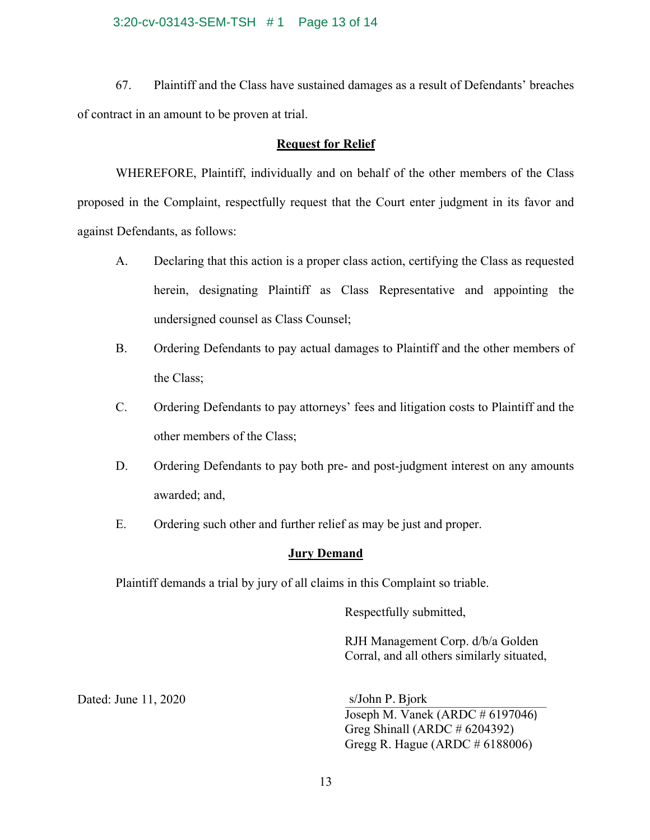### 3:20-cv-03143-SEM-TSH # 1 Page 13 of 14

67. Plaintiff and the Class have sustained damages as a result of Defendants' breaches of contract in an amount to be proven at trial.

## **Request for Relief**

WHEREFORE, Plaintiff, individually and on behalf of the other members of the Class proposed in the Complaint, respectfully request that the Court enter judgment in its favor and against Defendants, as follows:

- A. Declaring that this action is a proper class action, certifying the Class as requested herein, designating Plaintiff as Class Representative and appointing the undersigned counsel as Class Counsel;
- B. Ordering Defendants to pay actual damages to Plaintiff and the other members of the Class;
- C. Ordering Defendants to pay attorneys' fees and litigation costs to Plaintiff and the other members of the Class;
- D. Ordering Defendants to pay both pre- and post-judgment interest on any amounts awarded; and,
- E. Ordering such other and further relief as may be just and proper.

## **Jury Demand**

Plaintiff demands a trial by jury of all claims in this Complaint so triable.

Respectfully submitted,

RJH Management Corp. d/b/a Golden Corral, and all others similarly situated,

Dated: June 11, 2020

Joseph M. Vanek (ARDC # 6197046) Greg Shinall (ARDC # 6204392) Gregg R. Hague (ARDC # 6188006) s/John P. Bjork